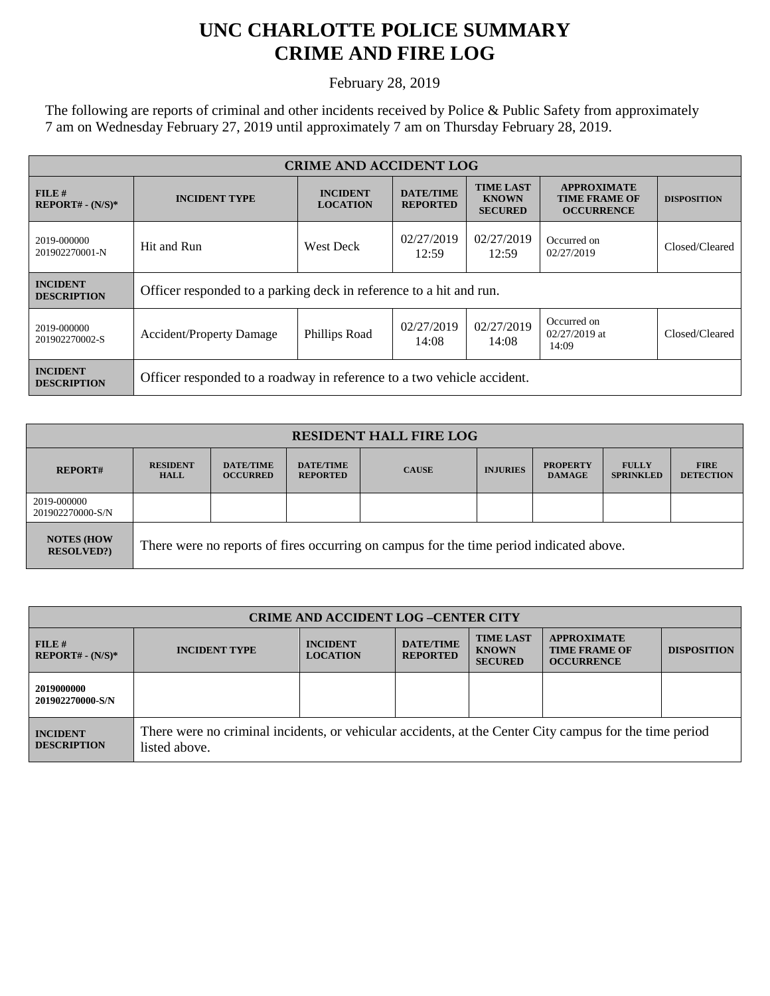## **UNC CHARLOTTE POLICE SUMMARY CRIME AND FIRE LOG**

February 28, 2019

The following are reports of criminal and other incidents received by Police & Public Safety from approximately 7 am on Wednesday February 27, 2019 until approximately 7 am on Thursday February 28, 2019.

| <b>CRIME AND ACCIDENT LOG</b>         |                                                                        |                                    |                                     |                                                    |                                                                 |                    |
|---------------------------------------|------------------------------------------------------------------------|------------------------------------|-------------------------------------|----------------------------------------------------|-----------------------------------------------------------------|--------------------|
| FILE H<br>$REPORT# - (N/S)*$          | <b>INCIDENT TYPE</b>                                                   | <b>INCIDENT</b><br><b>LOCATION</b> | <b>DATE/TIME</b><br><b>REPORTED</b> | <b>TIME LAST</b><br><b>KNOWN</b><br><b>SECURED</b> | <b>APPROXIMATE</b><br><b>TIME FRAME OF</b><br><b>OCCURRENCE</b> | <b>DISPOSITION</b> |
| 2019-000000<br>201902270001-N         | Hit and Run                                                            | <b>West Deck</b>                   | 02/27/2019<br>12:59                 | 02/27/2019<br>12:59                                | Occurred on<br>02/27/2019                                       | Closed/Cleared     |
| <b>INCIDENT</b><br><b>DESCRIPTION</b> | Officer responded to a parking deck in reference to a hit and run.     |                                    |                                     |                                                    |                                                                 |                    |
| 2019-000000<br>201902270002-S         | <b>Accident/Property Damage</b>                                        | Phillips Road                      | 02/27/2019<br>14:08                 | 02/27/2019<br>14:08                                | Occurred on<br>$02/27/2019$ at<br>14:09                         | Closed/Cleared     |
| <b>INCIDENT</b><br><b>DESCRIPTION</b> | Officer responded to a roadway in reference to a two vehicle accident. |                                    |                                     |                                                    |                                                                 |                    |

| <b>RESIDENT HALL FIRE LOG</b>         |                                                                                         |                                     |                                     |              |                 |                                  |                                  |                                 |
|---------------------------------------|-----------------------------------------------------------------------------------------|-------------------------------------|-------------------------------------|--------------|-----------------|----------------------------------|----------------------------------|---------------------------------|
| <b>REPORT#</b>                        | <b>RESIDENT</b><br><b>HALL</b>                                                          | <b>DATE/TIME</b><br><b>OCCURRED</b> | <b>DATE/TIME</b><br><b>REPORTED</b> | <b>CAUSE</b> | <b>INJURIES</b> | <b>PROPERTY</b><br><b>DAMAGE</b> | <b>FULLY</b><br><b>SPRINKLED</b> | <b>FIRE</b><br><b>DETECTION</b> |
| 2019-000000<br>201902270000-S/N       |                                                                                         |                                     |                                     |              |                 |                                  |                                  |                                 |
| <b>NOTES (HOW</b><br><b>RESOLVED?</b> | There were no reports of fires occurring on campus for the time period indicated above. |                                     |                                     |              |                 |                                  |                                  |                                 |

| <b>CRIME AND ACCIDENT LOG-CENTER CITY</b> |                                                                                                                          |                                    |                                     |                                                    |                                                                 |                    |
|-------------------------------------------|--------------------------------------------------------------------------------------------------------------------------|------------------------------------|-------------------------------------|----------------------------------------------------|-----------------------------------------------------------------|--------------------|
| FILE H<br>$REPORT# - (N/S)*$              | <b>INCIDENT TYPE</b>                                                                                                     | <b>INCIDENT</b><br><b>LOCATION</b> | <b>DATE/TIME</b><br><b>REPORTED</b> | <b>TIME LAST</b><br><b>KNOWN</b><br><b>SECURED</b> | <b>APPROXIMATE</b><br><b>TIME FRAME OF</b><br><b>OCCURRENCE</b> | <b>DISPOSITION</b> |
| 2019000000<br>201902270000-S/N            |                                                                                                                          |                                    |                                     |                                                    |                                                                 |                    |
| <b>INCIDENT</b><br><b>DESCRIPTION</b>     | There were no criminal incidents, or vehicular accidents, at the Center City campus for the time period<br>listed above. |                                    |                                     |                                                    |                                                                 |                    |